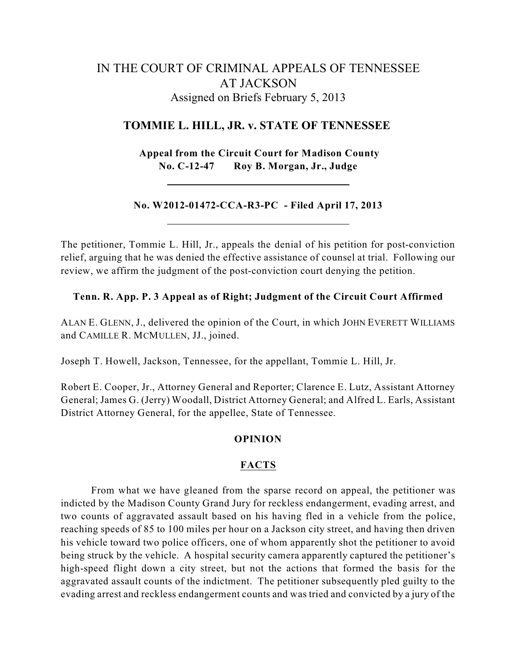# IN THE COURT OF CRIMINAL APPEALS OF TENNESSEE AT JACKSON Assigned on Briefs February 5, 2013

# **TOMMIE L. HILL, JR. v. STATE OF TENNESSEE**

**Appeal from the Circuit Court for Madison County No. C-12-47 Roy B. Morgan, Jr., Judge**

## **No. W2012-01472-CCA-R3-PC - Filed April 17, 2013**

The petitioner, Tommie L. Hill, Jr., appeals the denial of his petition for post-conviction relief, arguing that he was denied the effective assistance of counsel at trial. Following our review, we affirm the judgment of the post-conviction court denying the petition.

## **Tenn. R. App. P. 3 Appeal as of Right; Judgment of the Circuit Court Affirmed**

ALAN E. GLENN, J., delivered the opinion of the Court, in which JOHN EVERETT WILLIAMS and CAMILLE R. MCMULLEN, JJ., joined.

Joseph T. Howell, Jackson, Tennessee, for the appellant, Tommie L. Hill, Jr.

Robert E. Cooper, Jr., Attorney General and Reporter; Clarence E. Lutz, Assistant Attorney General; James G. (Jerry) Woodall, District Attorney General; and Alfred L. Earls, Assistant District Attorney General, for the appellee, State of Tennessee.

#### **OPINION**

## **FACTS**

From what we have gleaned from the sparse record on appeal, the petitioner was indicted by the Madison County Grand Jury for reckless endangerment, evading arrest, and two counts of aggravated assault based on his having fled in a vehicle from the police, reaching speeds of 85 to 100 miles per hour on a Jackson city street, and having then driven his vehicle toward two police officers, one of whom apparently shot the petitioner to avoid being struck by the vehicle. A hospital security camera apparently captured the petitioner's high-speed flight down a city street, but not the actions that formed the basis for the aggravated assault counts of the indictment. The petitioner subsequently pled guilty to the evading arrest and reckless endangerment counts and was tried and convicted by a jury of the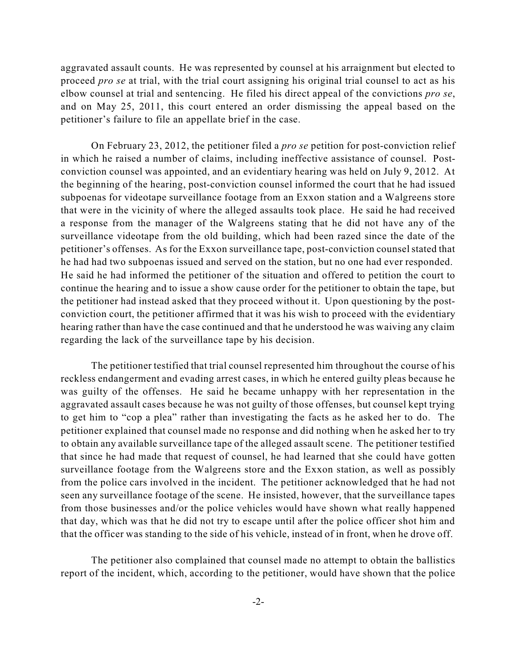aggravated assault counts. He was represented by counsel at his arraignment but elected to proceed *pro se* at trial, with the trial court assigning his original trial counsel to act as his elbow counsel at trial and sentencing. He filed his direct appeal of the convictions *pro se*, and on May 25, 2011, this court entered an order dismissing the appeal based on the petitioner's failure to file an appellate brief in the case.

On February 23, 2012, the petitioner filed a *pro se* petition for post-conviction relief in which he raised a number of claims, including ineffective assistance of counsel. Postconviction counsel was appointed, and an evidentiary hearing was held on July 9, 2012. At the beginning of the hearing, post-conviction counsel informed the court that he had issued subpoenas for videotape surveillance footage from an Exxon station and a Walgreens store that were in the vicinity of where the alleged assaults took place. He said he had received a response from the manager of the Walgreens stating that he did not have any of the surveillance videotape from the old building, which had been razed since the date of the petitioner's offenses. As for the Exxon surveillance tape, post-conviction counselstated that he had had two subpoenas issued and served on the station, but no one had ever responded. He said he had informed the petitioner of the situation and offered to petition the court to continue the hearing and to issue a show cause order for the petitioner to obtain the tape, but the petitioner had instead asked that they proceed without it. Upon questioning by the postconviction court, the petitioner affirmed that it was his wish to proceed with the evidentiary hearing rather than have the case continued and that he understood he was waiving any claim regarding the lack of the surveillance tape by his decision.

The petitioner testified that trial counsel represented him throughout the course of his reckless endangerment and evading arrest cases, in which he entered guilty pleas because he was guilty of the offenses. He said he became unhappy with her representation in the aggravated assault cases because he was not guilty of those offenses, but counsel kept trying to get him to "cop a plea" rather than investigating the facts as he asked her to do. The petitioner explained that counsel made no response and did nothing when he asked her to try to obtain any available surveillance tape of the alleged assault scene. The petitioner testified that since he had made that request of counsel, he had learned that she could have gotten surveillance footage from the Walgreens store and the Exxon station, as well as possibly from the police cars involved in the incident. The petitioner acknowledged that he had not seen any surveillance footage of the scene. He insisted, however, that the surveillance tapes from those businesses and/or the police vehicles would have shown what really happened that day, which was that he did not try to escape until after the police officer shot him and that the officer was standing to the side of his vehicle, instead of in front, when he drove off.

The petitioner also complained that counsel made no attempt to obtain the ballistics report of the incident, which, according to the petitioner, would have shown that the police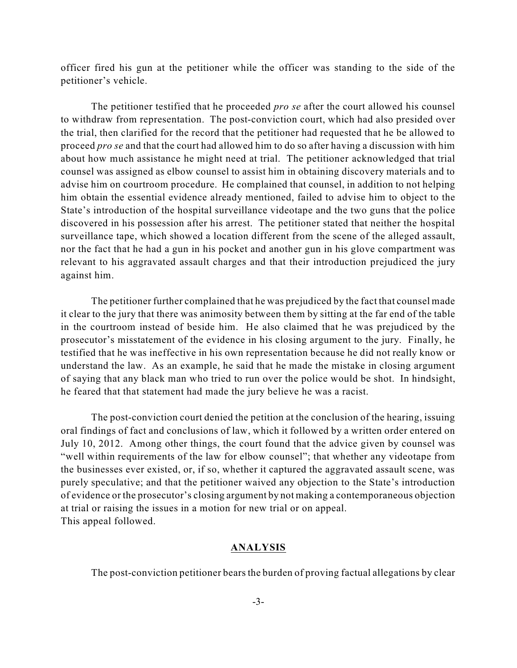officer fired his gun at the petitioner while the officer was standing to the side of the petitioner's vehicle.

The petitioner testified that he proceeded *pro se* after the court allowed his counsel to withdraw from representation. The post-conviction court, which had also presided over the trial, then clarified for the record that the petitioner had requested that he be allowed to proceed *pro se* and that the court had allowed him to do so after having a discussion with him about how much assistance he might need at trial. The petitioner acknowledged that trial counsel was assigned as elbow counsel to assist him in obtaining discovery materials and to advise him on courtroom procedure. He complained that counsel, in addition to not helping him obtain the essential evidence already mentioned, failed to advise him to object to the State's introduction of the hospital surveillance videotape and the two guns that the police discovered in his possession after his arrest. The petitioner stated that neither the hospital surveillance tape, which showed a location different from the scene of the alleged assault, nor the fact that he had a gun in his pocket and another gun in his glove compartment was relevant to his aggravated assault charges and that their introduction prejudiced the jury against him.

The petitioner further complained that he was prejudiced by the fact that counsel made it clear to the jury that there was animosity between them by sitting at the far end of the table in the courtroom instead of beside him. He also claimed that he was prejudiced by the prosecutor's misstatement of the evidence in his closing argument to the jury. Finally, he testified that he was ineffective in his own representation because he did not really know or understand the law. As an example, he said that he made the mistake in closing argument of saying that any black man who tried to run over the police would be shot. In hindsight, he feared that that statement had made the jury believe he was a racist.

The post-conviction court denied the petition at the conclusion of the hearing, issuing oral findings of fact and conclusions of law, which it followed by a written order entered on July 10, 2012. Among other things, the court found that the advice given by counsel was "well within requirements of the law for elbow counsel"; that whether any videotape from the businesses ever existed, or, if so, whether it captured the aggravated assault scene, was purely speculative; and that the petitioner waived any objection to the State's introduction of evidence or the prosecutor's closing argument by not making a contemporaneous objection at trial or raising the issues in a motion for new trial or on appeal. This appeal followed.

#### **ANALYSIS**

The post-conviction petitioner bears the burden of proving factual allegations by clear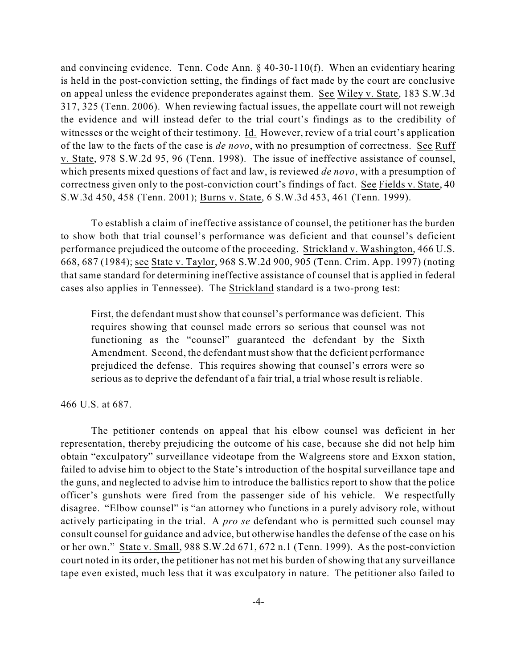and convincing evidence. Tenn. Code Ann. § 40-30-110(f). When an evidentiary hearing is held in the post-conviction setting, the findings of fact made by the court are conclusive on appeal unless the evidence preponderates against them. See Wiley v. State, 183 S.W.3d 317, 325 (Tenn. 2006). When reviewing factual issues, the appellate court will not reweigh the evidence and will instead defer to the trial court's findings as to the credibility of witnesses or the weight of their testimony. Id. However, review of a trial court's application of the law to the facts of the case is *de novo*, with no presumption of correctness. See Ruff v. State, 978 S.W.2d 95, 96 (Tenn. 1998). The issue of ineffective assistance of counsel, which presents mixed questions of fact and law, is reviewed *de novo*, with a presumption of correctness given only to the post-conviction court's findings of fact. See Fields v. State, 40 S.W.3d 450, 458 (Tenn. 2001); Burns v. State, 6 S.W.3d 453, 461 (Tenn. 1999).

To establish a claim of ineffective assistance of counsel, the petitioner has the burden to show both that trial counsel's performance was deficient and that counsel's deficient performance prejudiced the outcome of the proceeding. Strickland v. Washington, 466 U.S. 668, 687 (1984); see State v. Taylor, 968 S.W.2d 900, 905 (Tenn. Crim. App. 1997) (noting that same standard for determining ineffective assistance of counsel that is applied in federal cases also applies in Tennessee). The Strickland standard is a two-prong test:

First, the defendant must show that counsel's performance was deficient. This requires showing that counsel made errors so serious that counsel was not functioning as the "counsel" guaranteed the defendant by the Sixth Amendment. Second, the defendant must show that the deficient performance prejudiced the defense. This requires showing that counsel's errors were so serious as to deprive the defendant of a fair trial, a trial whose result is reliable.

466 U.S. at 687.

The petitioner contends on appeal that his elbow counsel was deficient in her representation, thereby prejudicing the outcome of his case, because she did not help him obtain "exculpatory" surveillance videotape from the Walgreens store and Exxon station, failed to advise him to object to the State's introduction of the hospital surveillance tape and the guns, and neglected to advise him to introduce the ballistics report to show that the police officer's gunshots were fired from the passenger side of his vehicle. We respectfully disagree. "Elbow counsel" is "an attorney who functions in a purely advisory role, without actively participating in the trial. A *pro se* defendant who is permitted such counsel may consult counsel for guidance and advice, but otherwise handles the defense of the case on his or her own." State v. Small, 988 S.W.2d 671, 672 n.1 (Tenn. 1999). As the post-conviction court noted in its order, the petitioner has not met his burden of showing that any surveillance tape even existed, much less that it was exculpatory in nature. The petitioner also failed to